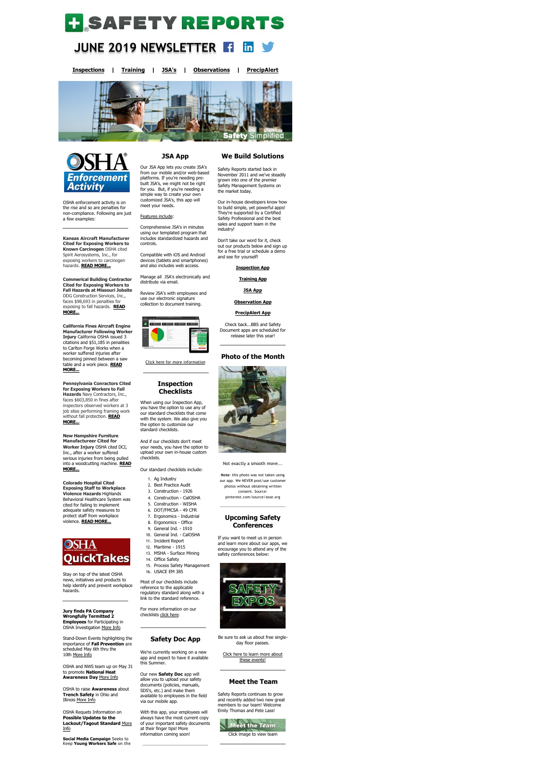

#### **JUNE 2019 NEWSLETTER**  in

**[Inspections](https://www.safety-reports.com/safety-inspection/) | [Training](https://www.safety-reports.com/safety-training/) | [JSA's](https://www.safety-reports.com/jsa/) | [Observations](https://www.safety-reports.com/safety-observation-coming-soon/) | [PrecipAlert](https://www.safety-reports.com/precipalert/)**





OSHA enforcement activity is on the rise and so are penalties for non-compliance. Following are just a few examples:

**Kansas Aircraft Manufacturer Cited for Exposing Workers to Known Carcinogen** OSHA cited Spirit Aerosystems, Inc., for exposing workers to carcinogen hazards. **[READ MORE...](https://www.safety-reports.com/blog/kansas-aircraft-manufacturer-cited-for-exposing-workers-to-known-carcinogen/)**

**Commerical Building Contractor Cited for Exposing Workers to Fall Hazards at Missouri Jobsite** DDG Construction Services, Inc., faces \$98,693 in penalties for [exposing to fall hazards.](https://www.safety-reports.com/blog/commercial-building-contractor-cited-for-exposing-workers-to-fall-hazards-at-missouri-jobsite/) **READ MORE...**

**California Fines Aircraft Engine Manufacturer Following Worker Injury** California OSHA issued 3 citations and \$51,185 in penalities to Carlton Forge Works when a worker suffered injuries after becoming pinned between a saw [table and a work piece.](https://www.safety-reports.com/blog/california-fines-aircraft-engine-manufacturer-following-worker-injury/) **READ MORE...**

**Jury finds PA Company Wrongfully Termitted 2 Employees** for Participating in OSHA Investigation [More Info](https://www.safety-reports.com/blog/jury-finds-pennsylvania-company-wrongfully-terminated-two-employees-for-participating-in-osha-investigation/)

#### **Pennsylvania Conractors Cited for Exposing Workers to Fall Hazards** Navy Contractors, Inc., faces \$603,850 in fines after inspectors observed workers at 3

OSHA to raise **Awareness** about **[Trench Safety](http://www.safety-reports.com/2017/11/28/industry-guide-provides-best-practices-high-school-construction-programs/)** in Ohio and Illinois [More Info](https://www.safety-reports.com/blog/osha-to-raise-awareness-about-trench-safety-in-ohio-and-illinois/)

OSHA Requets Information on **Possible Updates to the [Loc](https://www.safety-reports.com/blog/osha-requests-information-on-possible-updates-to-the-lockout-tagout-standard/)kout/Tagout Standard** More <u>Info</u>

job sites performing framing work [without fall protection.](https://www.safety-reports.com/blog/pennsylvania-contractors-cited-for-exposing-workers-to-fall-hazards/) **READ MORE...**

**New Hampshire Furniture Manufactureer Cited for Worker Injury** OSHA cited DCI, Inc., after a worker suffered serious injuries from being pulled [into a woodcutting machine.](https://www.safety-reports.com/blog/new-hampshire-furniture-manufacturer-cited-after-worker-injury/) **READ MORE...**

**Colorado Hospital Cited Exposing Staff to Workplace Violence Hazards** Highlands Behavioral Healthcare System was cited for failing to implement adequate safety measures to protect staff from workplace violence. **[READ MORE...](https://www.safety-reports.com/blog/colorado-hospital-cited-for-exposing-staff-to-workplace-violence-hazards/)**



Stay on top of the latest OSHA news, initiatives and products to help identify and prevent workplace hazards.

Stand-Down Events highlighting the importance of **Fall Prevention** are scheduled May 6th thru the 10th [More Info](https://www.safety-reports.com/blog/stand-down-events-highlight-fall-prevention/)

For more information on our checklists [click here](https://www.safety-reports.com/checklists/).

OSHA and NWS team up on May 31 to promote **National Heat Awareness Day** [More Info](https://www.safety-reports.com/blog/may-31-is-national-heat-awareness-day/)

**Social Media Campaign** Seeks to Keep **Young Workers Safe** on the

# **JSA App**

Our JSA App lets you create JSA's from our mobile and/or web-based platforms. If you're needing prebuilt JSA's, we might not be right for you. But, if you're needing a simple way to create your own customized JSA's, this app will meet your needs.

#### Features include:

Comprehensive JSA's in minutes using our templated program that includes standardized hazards and controls.

Compatible with iOS and Android devices (tablets and smartphones) and also includes web access.

Manage all JSA's electronically and distribute via email.

Review JSA's with employees and use our electronic signature collection to document training.



[Click here for more information](https://www.safety-reports.com/jsa/)

# **Inspection Checklists**

When using our Inspection App, you have the option to use any of

our standard checklists that come with the system. We also give you the option to customize our standard checklists.

And if our checklists don't meet your needs, you have the option to upload your own in-house custom checklists.

Our standard checklists include:

- 1. Ag Industry
- 2. Best Practice Audit
- 3. Construction 1926
- 4. Construction CalOSHA
- 5. Construction WISHA 6. DOT/FMCSA - 49 CFR
- 
- 7. Ergonomics Industrial
- 8. Ergonomics Office
- 9. General Ind. 1910 10. General Ind. - CalOSHA
- 11. Incident Report
- 12. Maritime 1915
- 13. MSHA Surface Mining
- 14. Office Safety
- 15. Process Safety Management
- 16. USACE EM 385

Most of our checklists include reference to the applicable regulatory standard along with a link to the standard reference.

# **Safety Doc App**

We're currently working on a new app and expect to have it available this Summer.

Our new **Safety Doc** app will allow you to upload your safety documents (policies, manuals, SDS's, etc.) and make them available to employees in the field via our mobile app.

With this app, your employees will always have the most current copy of your important safety documents at their finger tips! More information coming soon!

# **We Build Solutions**

Safety Reports started back in November 2011 and we've steadily grown into one of the premier Safety Management Systems on the market today.

Our in-house developers know how to build simple, yet powerful apps! They're supported by a Certified Safety Professional and the best sales and support team in the industry!

Don't take our word for it, check out our products below and sign up for a free trial or schedule a demo and see for yourself!

**[Inspection App](https://www.safety-reports.com/safety-inspection/) [Training App](https://www.safety-reports.com/safety-training/) [JSA App](https://www.safety-reports.com/jsa/) [Observation App](https://www.safety-reports.com/safety-observation-coming-soon/)**

#### **[PrecipAlert App](https://www.safety-reports.com/precipalert/)**

Check back...BBS and Safety Document apps are scheduled for release later this year!

### **Photo of the Month**



#### Not exactly a smooth move...

**Note**: this photo was not taken using our app. We NEVER post/use customer photos without obtaining written consent. Source: pinterest.com/source/asse.org

## **Upcoming Safety Conferences**

If you want to meet us in person and learn more about our apps, we encourage you to attend any of the safety conferences below:



Be sure to ask us about free singleday floor passes.

these events!

[Click here to learn more about](https://www.safety-reports.com/safetyexpo/)

## **Meet the Team**

Safety Reports continues to grow and recently added two new great members to our team! Welcome Emily Thomas and Pete Lass!